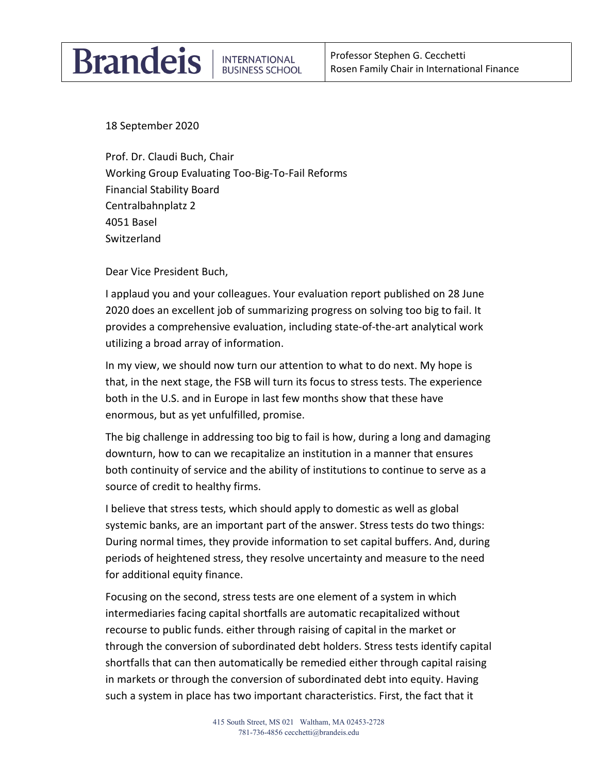## **Brandeis**

18 September 2020

Prof. Dr. Claudi Buch, Chair Working Group Evaluating Too-Big-To-Fail Reforms Financial Stability Board Centralbahnplatz 2 4051 Basel Switzerland

Dear Vice President Buch,

I applaud you and your colleagues. Your evaluation report published on 28 June 2020 does an excellent job of summarizing progress on solving too big to fail. It provides a comprehensive evaluation, including state-of-the-art analytical work utilizing a broad array of information.

In my view, we should now turn our attention to what to do next. My hope is that, in the next stage, the FSB will turn its focus to stress tests. The experience both in the U.S. and in Europe in last few months show that these have enormous, but as yet unfulfilled, promise.

The big challenge in addressing too big to fail is how, during a long and damaging downturn, how to can we recapitalize an institution in a manner that ensures both continuity of service and the ability of institutions to continue to serve as a source of credit to healthy firms.

I believe that stress tests, which should apply to domestic as well as global systemic banks, are an important part of the answer. Stress tests do two things: During normal times, they provide information to set capital buffers. And, during periods of heightened stress, they resolve uncertainty and measure to the need for additional equity finance.

Focusing on the second, stress tests are one element of a system in which intermediaries facing capital shortfalls are automatic recapitalized without recourse to public funds. either through raising of capital in the market or through the conversion of subordinated debt holders. Stress tests identify capital shortfalls that can then automatically be remedied either through capital raising in markets or through the conversion of subordinated debt into equity. Having such a system in place has two important characteristics. First, the fact that it